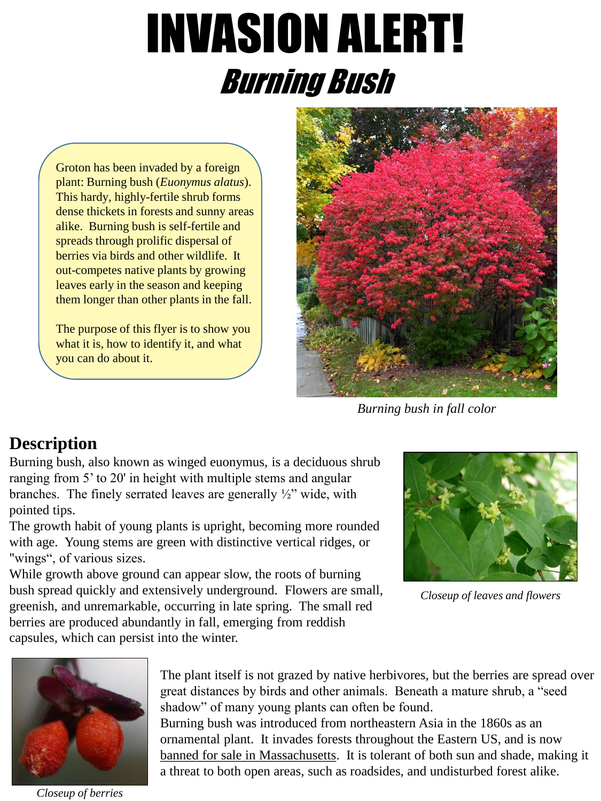# INVASION ALERT! Burning Bush

Groton has been invaded by a foreign plant: Burning bush (*Euonymus alatus*). This hardy, highly-fertile shrub forms dense thickets in forests and sunny areas alike. Burning bush is self-fertile and spreads through prolific dispersal of berries via birds and other wildlife. It out-competes native plants by growing leaves early in the season and keeping them longer than other plants in the fall.

The purpose of this flyer is to show you what it is, how to identify it, and what you can do about it.



*Burning bush in fall color*

## **Description**

Burning bush, also known as winged euonymus, is a deciduous shrub ranging from 5' to 20' in height with multiple stems and angular branches. The finely serrated leaves are generally  $\frac{1}{2}$  wide, with pointed tips.

The growth habit of young plants is upright, becoming more rounded with age. Young stems are green with distinctive vertical ridges, or "wings", of various sizes.

While growth above ground can appear slow, the roots of burning bush spread quickly and extensively underground. Flowers are small, greenish, and unremarkable, occurring in late spring. The small red berries are produced abundantly in fall, emerging from reddish capsules, which can persist into the winter.



*Closeup of leaves and flowers*



*Closeup of berries*

The plant itself is not grazed by native herbivores, but the berries are spread over great distances by birds and other animals. Beneath a mature shrub, a "seed shadow" of many young plants can often be found. Burning bush was introduced from northeastern Asia in the 1860s as an ornamental plant. It invades forests throughout the Eastern US, and is now banned for sale in Massachusetts. It is tolerant of both sun and shade, making it a threat to both open areas, such as roadsides, and undisturbed forest alike.